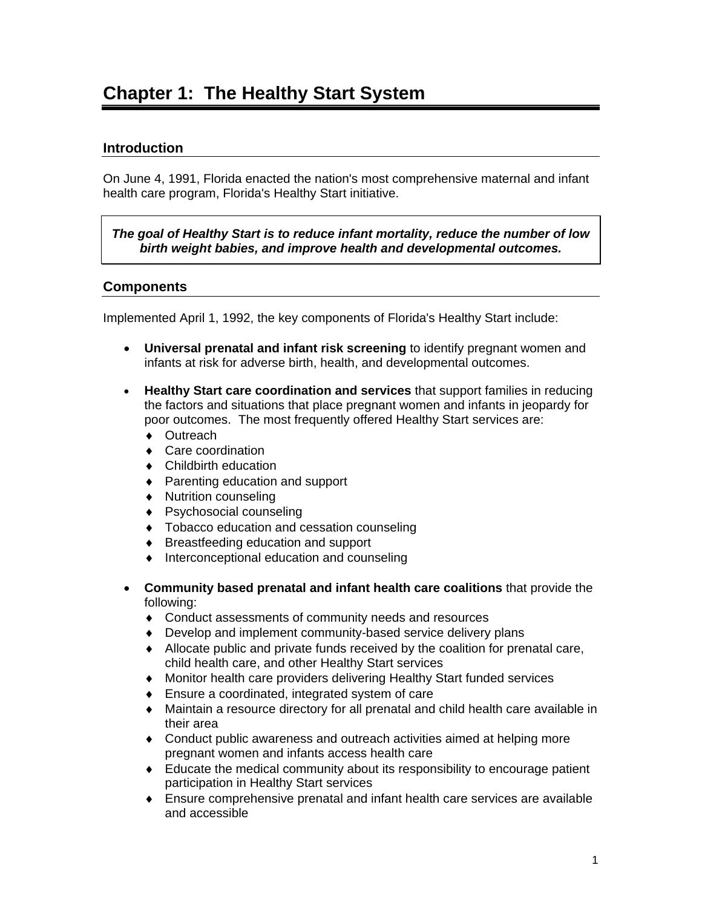### **Introduction**

On June 4, 1991, Florida enacted the nation's most comprehensive maternal and infant health care program, Florida's Healthy Start initiative.

*The goal of Healthy Start is to reduce infant mortality, reduce the number of low birth weight babies, and improve health and developmental outcomes.* 

#### **Components**

Implemented April 1, 1992, the key components of Florida's Healthy Start include:

- **Universal prenatal and infant risk screening** to identify pregnant women and infants at risk for adverse birth, health, and developmental outcomes.
- **Healthy Start care coordination and services** that support families in reducing the factors and situations that place pregnant women and infants in jeopardy for poor outcomes. The most frequently offered Healthy Start services are:
	- ♦ Outreach
	- ♦ Care coordination
	- ♦ Childbirth education
	- ♦ Parenting education and support
	- ♦ Nutrition counseling
	- ♦ Psychosocial counseling
	- ♦ Tobacco education and cessation counseling
	- ♦ Breastfeeding education and support
	- ♦ Interconceptional education and counseling
- **Community based prenatal and infant health care coalitions** that provide the following:
	- ♦ Conduct assessments of community needs and resources
	- ♦ Develop and implement community-based service delivery plans
	- ♦ Allocate public and private funds received by the coalition for prenatal care, child health care, and other Healthy Start services
	- ♦ Monitor health care providers delivering Healthy Start funded services
	- ♦ Ensure a coordinated, integrated system of care
	- ♦ Maintain a resource directory for all prenatal and child health care available in their area
	- ♦ Conduct public awareness and outreach activities aimed at helping more pregnant women and infants access health care
	- ♦ Educate the medical community about its responsibility to encourage patient participation in Healthy Start services
	- ♦ Ensure comprehensive prenatal and infant health care services are available and accessible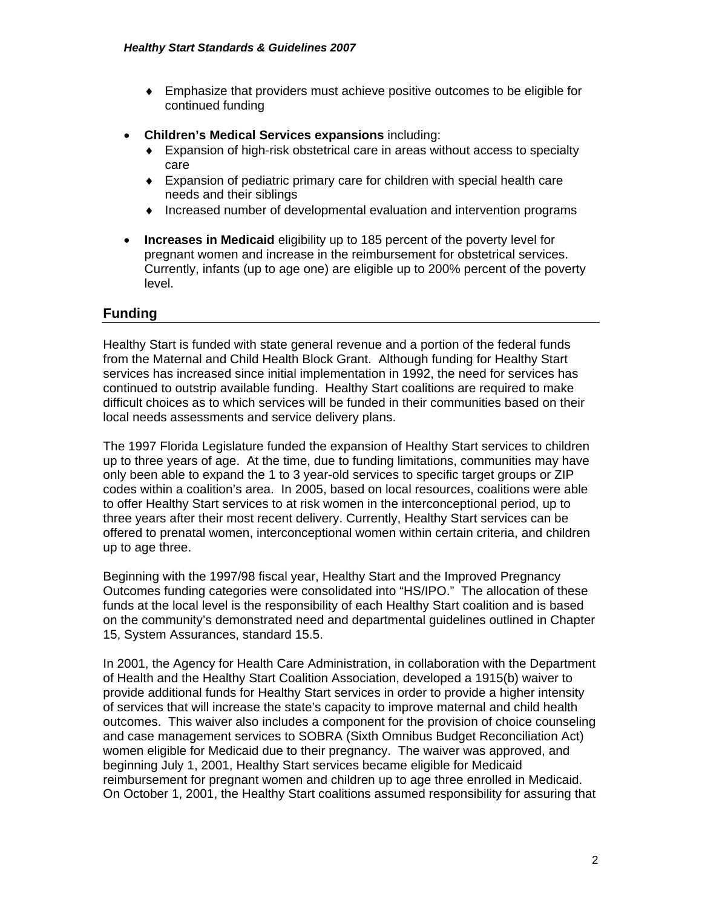- ♦ Emphasize that providers must achieve positive outcomes to be eligible for continued funding
- **Children's Medical Services expansions** including:
	- ♦ Expansion of high-risk obstetrical care in areas without access to specialty care
	- ♦ Expansion of pediatric primary care for children with special health care needs and their siblings
	- ♦ Increased number of developmental evaluation and intervention programs
- **Increases in Medicaid** eligibility up to 185 percent of the poverty level for pregnant women and increase in the reimbursement for obstetrical services. Currently, infants (up to age one) are eligible up to 200% percent of the poverty level.

#### **Funding**

Healthy Start is funded with state general revenue and a portion of the federal funds from the Maternal and Child Health Block Grant. Although funding for Healthy Start services has increased since initial implementation in 1992, the need for services has continued to outstrip available funding. Healthy Start coalitions are required to make difficult choices as to which services will be funded in their communities based on their local needs assessments and service delivery plans.

The 1997 Florida Legislature funded the expansion of Healthy Start services to children up to three years of age. At the time, due to funding limitations, communities may have only been able to expand the 1 to 3 year-old services to specific target groups or ZIP codes within a coalition's area. In 2005, based on local resources, coalitions were able to offer Healthy Start services to at risk women in the interconceptional period, up to three years after their most recent delivery. Currently, Healthy Start services can be offered to prenatal women, interconceptional women within certain criteria, and children up to age three.

Beginning with the 1997/98 fiscal year, Healthy Start and the Improved Pregnancy Outcomes funding categories were consolidated into "HS/IPO." The allocation of these funds at the local level is the responsibility of each Healthy Start coalition and is based on the community's demonstrated need and departmental guidelines outlined in Chapter 15, System Assurances, standard 15.5.

In 2001, the Agency for Health Care Administration, in collaboration with the Department of Health and the Healthy Start Coalition Association, developed a 1915(b) waiver to provide additional funds for Healthy Start services in order to provide a higher intensity of services that will increase the state's capacity to improve maternal and child health outcomes. This waiver also includes a component for the provision of choice counseling and case management services to SOBRA (Sixth Omnibus Budget Reconciliation Act) women eligible for Medicaid due to their pregnancy. The waiver was approved, and beginning July 1, 2001, Healthy Start services became eligible for Medicaid reimbursement for pregnant women and children up to age three enrolled in Medicaid. On October 1, 2001, the Healthy Start coalitions assumed responsibility for assuring that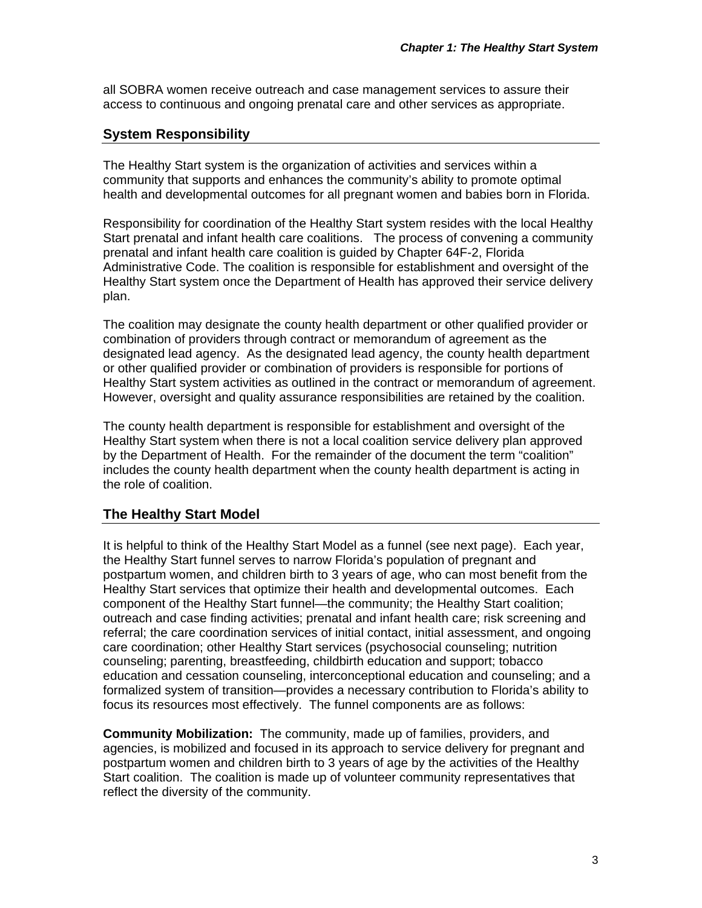all SOBRA women receive outreach and case management services to assure their access to continuous and ongoing prenatal care and other services as appropriate.

### **System Responsibility**

The Healthy Start system is the organization of activities and services within a community that supports and enhances the community's ability to promote optimal health and developmental outcomes for all pregnant women and babies born in Florida.

Responsibility for coordination of the Healthy Start system resides with the local Healthy Start prenatal and infant health care coalitions. The process of convening a community prenatal and infant health care coalition is guided by Chapter 64F-2, Florida Administrative Code. The coalition is responsible for establishment and oversight of the Healthy Start system once the Department of Health has approved their service delivery plan.

The coalition may designate the county health department or other qualified provider or combination of providers through contract or memorandum of agreement as the designated lead agency. As the designated lead agency, the county health department or other qualified provider or combination of providers is responsible for portions of Healthy Start system activities as outlined in the contract or memorandum of agreement. However, oversight and quality assurance responsibilities are retained by the coalition.

The county health department is responsible for establishment and oversight of the Healthy Start system when there is not a local coalition service delivery plan approved by the Department of Health. For the remainder of the document the term "coalition" includes the county health department when the county health department is acting in the role of coalition.

#### **The Healthy Start Model**

It is helpful to think of the Healthy Start Model as a funnel (see next page). Each year, the Healthy Start funnel serves to narrow Florida's population of pregnant and postpartum women, and children birth to 3 years of age, who can most benefit from the Healthy Start services that optimize their health and developmental outcomes. Each component of the Healthy Start funnel—the community; the Healthy Start coalition; outreach and case finding activities; prenatal and infant health care; risk screening and referral; the care coordination services of initial contact, initial assessment, and ongoing care coordination; other Healthy Start services (psychosocial counseling; nutrition counseling; parenting, breastfeeding, childbirth education and support; tobacco education and cessation counseling, interconceptional education and counseling; and a formalized system of transition—provides a necessary contribution to Florida's ability to focus its resources most effectively. The funnel components are as follows:

**Community Mobilization:** The community, made up of families, providers, and agencies, is mobilized and focused in its approach to service delivery for pregnant and postpartum women and children birth to 3 years of age by the activities of the Healthy Start coalition. The coalition is made up of volunteer community representatives that reflect the diversity of the community.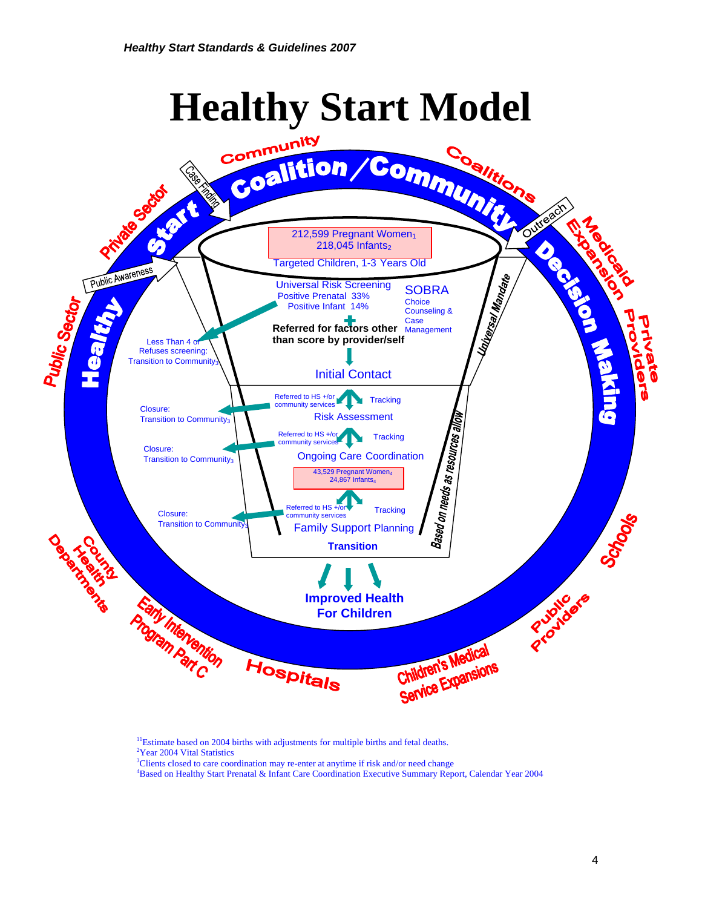*Healthy Start Standards & Guidelines 2007*



<sup>11</sup>Estimate based on 2004 births with adjustments for multiple births and fetal deaths. <sup>2</sup>Year 2004 Vital Statistics

<sup>3</sup>Clients closed to care coordination may re-enter at anytime if risk and/or need change <sup>4</sup> Beard on Hackley Steps beneficial & Information Coordination Executive Symmetry Bon-

Based on Healthy Start Prenatal & Infant Care Coordination Executive Summary Report, Calendar Year 2004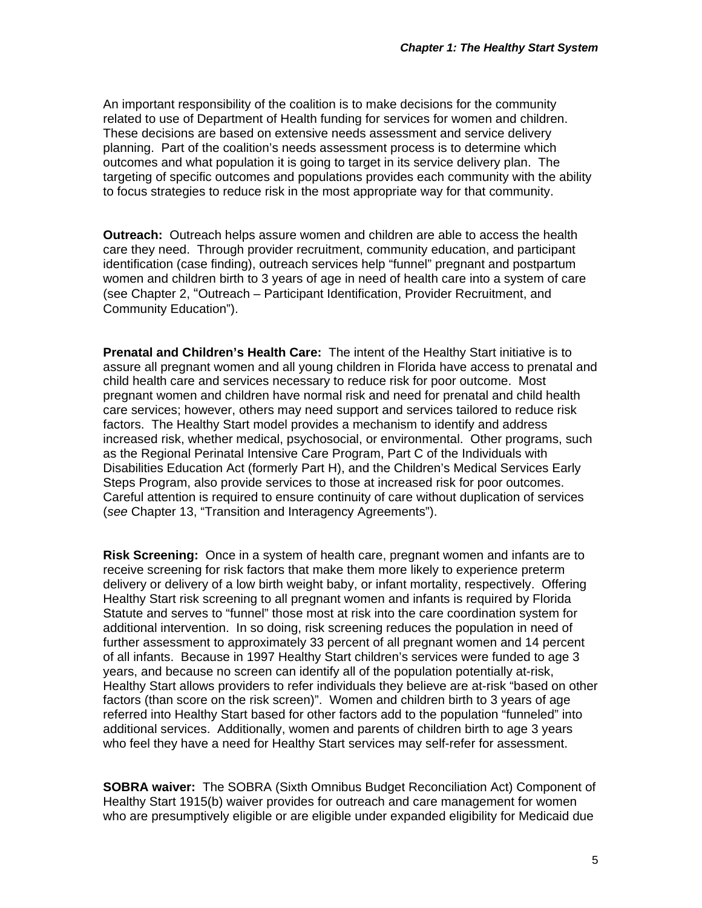An important responsibility of the coalition is to make decisions for the community related to use of Department of Health funding for services for women and children. These decisions are based on extensive needs assessment and service delivery planning. Part of the coalition's needs assessment process is to determine which outcomes and what population it is going to target in its service delivery plan. The targeting of specific outcomes and populations provides each community with the ability to focus strategies to reduce risk in the most appropriate way for that community.

**Outreach:** Outreach helps assure women and children are able to access the health care they need. Through provider recruitment, community education, and participant identification (case finding), outreach services help "funnel" pregnant and postpartum women and children birth to 3 years of age in need of health care into a system of care (see Chapter 2, "Outreach – Participant Identification, Provider Recruitment, and Community Education").

**Prenatal and Children's Health Care:** The intent of the Healthy Start initiative is to assure all pregnant women and all young children in Florida have access to prenatal and child health care and services necessary to reduce risk for poor outcome. Most pregnant women and children have normal risk and need for prenatal and child health care services; however, others may need support and services tailored to reduce risk factors. The Healthy Start model provides a mechanism to identify and address increased risk, whether medical, psychosocial, or environmental. Other programs, such as the Regional Perinatal Intensive Care Program, Part C of the Individuals with Disabilities Education Act (formerly Part H), and the Children's Medical Services Early Steps Program, also provide services to those at increased risk for poor outcomes. Careful attention is required to ensure continuity of care without duplication of services (*see* Chapter 13, "Transition and Interagency Agreements").

**Risk Screening:** Once in a system of health care, pregnant women and infants are to receive screening for risk factors that make them more likely to experience preterm delivery or delivery of a low birth weight baby, or infant mortality, respectively. Offering Healthy Start risk screening to all pregnant women and infants is required by Florida Statute and serves to "funnel" those most at risk into the care coordination system for additional intervention. In so doing, risk screening reduces the population in need of further assessment to approximately 33 percent of all pregnant women and 14 percent of all infants. Because in 1997 Healthy Start children's services were funded to age 3 years, and because no screen can identify all of the population potentially at-risk, Healthy Start allows providers to refer individuals they believe are at-risk "based on other factors (than score on the risk screen)". Women and children birth to 3 years of age referred into Healthy Start based for other factors add to the population "funneled" into additional services. Additionally, women and parents of children birth to age 3 years who feel they have a need for Healthy Start services may self-refer for assessment.

**SOBRA waiver:** The SOBRA (Sixth Omnibus Budget Reconciliation Act) Component of Healthy Start 1915(b) waiver provides for outreach and care management for women who are presumptively eligible or are eligible under expanded eligibility for Medicaid due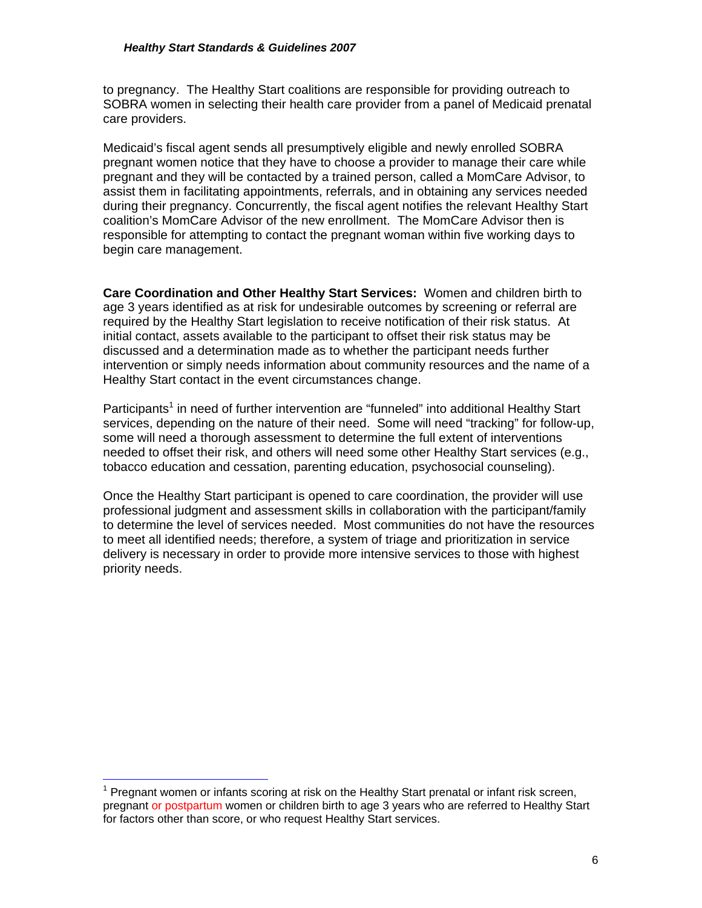to pregnancy. The Healthy Start coalitions are responsible for providing outreach to SOBRA women in selecting their health care provider from a panel of Medicaid prenatal care providers.

Medicaid's fiscal agent sends all presumptively eligible and newly enrolled SOBRA pregnant women notice that they have to choose a provider to manage their care while pregnant and they will be contacted by a trained person, called a MomCare Advisor, to assist them in facilitating appointments, referrals, and in obtaining any services needed during their pregnancy. Concurrently, the fiscal agent notifies the relevant Healthy Start coalition's MomCare Advisor of the new enrollment. The MomCare Advisor then is responsible for attempting to contact the pregnant woman within five working days to begin care management.

**Care Coordination and Other Healthy Start Services:** Women and children birth to age 3 years identified as at risk for undesirable outcomes by screening or referral are required by the Healthy Start legislation to receive notification of their risk status. At initial contact, assets available to the participant to offset their risk status may be discussed and a determination made as to whether the participant needs further intervention or simply needs information about community resources and the name of a Healthy Start contact in the event circumstances change.

Participants<sup>1</sup> in need of further intervention are "funneled" into additional Healthy Start services, depending on the nature of their need. Some will need "tracking" for follow-up, some will need a thorough assessment to determine the full extent of interventions needed to offset their risk, and others will need some other Healthy Start services (e.g., tobacco education and cessation, parenting education, psychosocial counseling).

Once the Healthy Start participant is opened to care coordination, the provider will use professional judgment and assessment skills in collaboration with the participant/family to determine the level of services needed. Most communities do not have the resources to meet all identified needs; therefore, a system of triage and prioritization in service delivery is necessary in order to provide more intensive services to those with highest priority needs.

 $\overline{a}$ <sup>1</sup> Pregnant women or infants scoring at risk on the Healthy Start prenatal or infant risk screen, pregnant or postpartum women or children birth to age 3 years who are referred to Healthy Start for factors other than score, or who request Healthy Start services.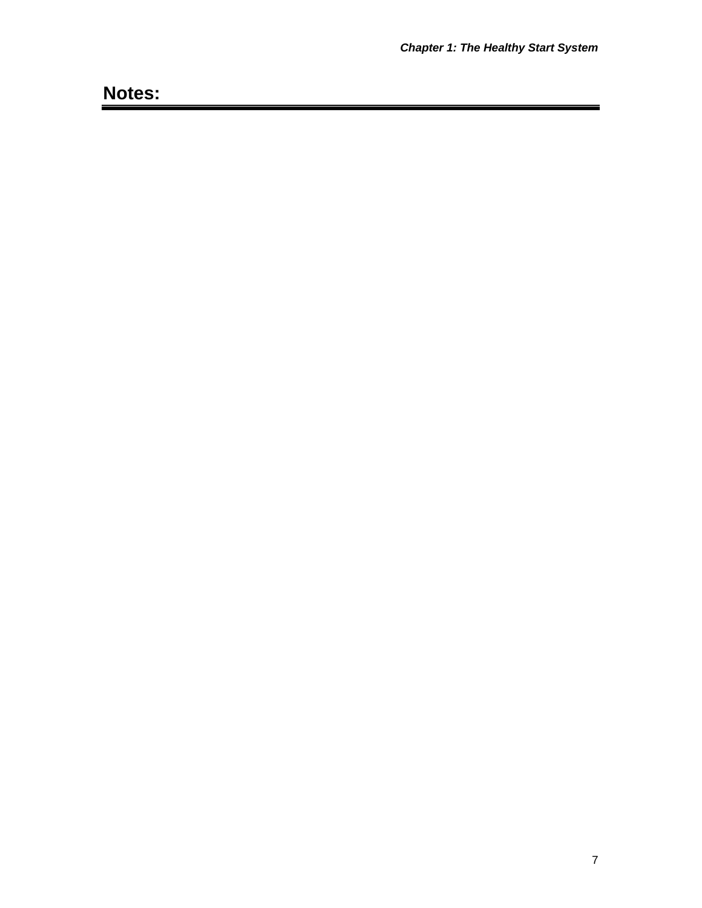# **Notes:**